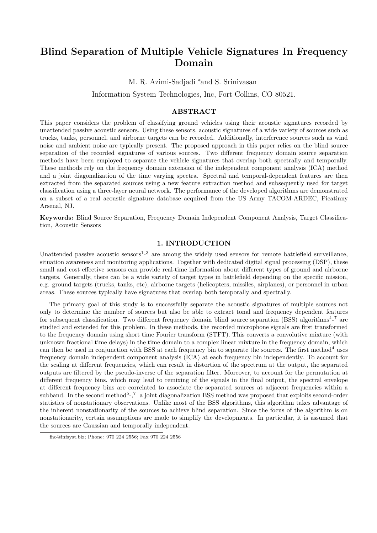# Blind Separation of Multiple Vehicle Signatures In Frequency Domain

M. R. Azimi-Sadjadi <sup>∗</sup>and S. Srinivasan

Information System Technologies, Inc, Fort Collins, CO 80521.

# ABSTRACT

This paper considers the problem of classifying ground vehicles using their acoustic signatures recorded by unattended passive acoustic sensors. Using these sensors, acoustic signatures of a wide variety of sources such as trucks, tanks, personnel, and airborne targets can be recorded. Additionally, interference sources such as wind noise and ambient noise are typically present. The proposed approach in this paper relies on the blind source separation of the recorded signatures of various sources. Two different frequency domain source separation methods have been employed to separate the vehicle signatures that overlap both spectrally and temporally. These methods rely on the frequency domain extension of the independent component analysis (ICA) method and a joint diagonalization of the time varying spectra. Spectral and temporal-dependent features are then extracted from the separated sources using a new feature extraction method and subsequently used for target classification using a three-layer neural network. The performance of the developed algorithms are demonstrated on a subset of a real acoustic signature database acquired from the US Army TACOM-ARDEC, Picatinny Arsenal, NJ.

Keywords: Blind Source Separation, Frequency Domain Independent Component Analysis, Target Classification, Acoustic Sensors

## 1. INTRODUCTION

Unattended passive acoustic sensors<sup>1</sup><sup>-3</sup> are among the widely used sensors for remote battlefield surveillance, situation awareness and monitoring applications. Together with dedicated digital signal processing (DSP), these small and cost effective sensors can provide real-time information about different types of ground and airborne targets. Generally, there can be a wide variety of target types in battlefield depending on the specific mission, e.g. ground targets (trucks, tanks, etc), airborne targets (helicopters, missiles, airplanes), or personnel in urban areas. These sources typically have signatures that overlap both temporally and spectrally.

The primary goal of this study is to successfully separate the acoustic signatures of multiple sources not only to determine the number of sources but also be able to extract tonal and frequency dependent features for subsequent classification. Two different frequency domain blind source separation (BSS) algorithms<sup>4</sup>-<sup>7</sup> are studied and extended for this problem. In these methods, the recorded microphone signals are first transformed to the frequency domain using short time Fourier transform (STFT). This converts a convolutive mixture (with unknown fractional time delays) in the time domain to a complex linear mixture in the frequency domain, which can then be used in conjunction with BSS at each frequency bin to separate the sources. The first method<sup>4</sup> uses frequency domain independent component analysis (ICA) at each frequency bin independently. To account for the scaling at different frequencies, which can result in distortion of the spectrum at the output, the separated outputs are filtered by the pseudo-inverse of the separation filter. Moreover, to account for the permutation at different frequency bins, which may lead to remixing of the signals in the final output, the spectral envelope at different frequency bins are correlated to associate the separated sources at adjacent frequencies within a subband. In the second method<sup>5</sup>-,<sup>7</sup> a joint diagonalization BSS method was proposed that exploits second-order statistics of nonstationary observations. Unlike most of the BSS algorithms, this algorithm takes advantage of the inherent nonstationarity of the sources to achieve blind separation. Since the focus of the algorithm is on nonstationarity, certain assumptions are made to simplify the developments. In particular, it is assumed that the sources are Gaussian and temporally independent.

<sup>∗</sup>mo@infsyst.biz; Phone: 970 224 2556; Fax 970 224 2556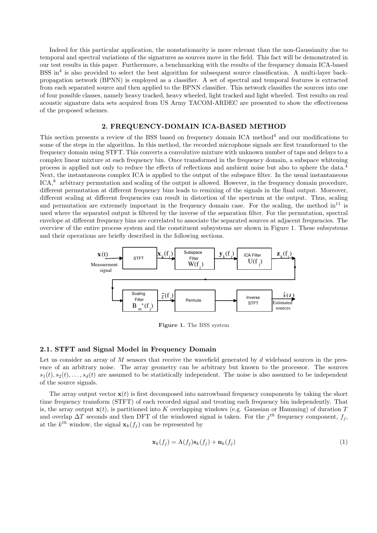Indeed for this particular application, the nonstationarity is more relevant than the non-Gaussianity due to temporal and spectral variations of the signatures as sources move in the field. This fact will be demonstrated in our test results in this paper. Furthermore, a benchmarking with the results of the frequency domain ICA-based BSS in<sup>4</sup> is also provided to select the best algorithm for subsequent source classification. A multi-layer backpropagation network (BPNN) is employed as a classifier. A set of spectral and temporal features is extracted from each separated source and then applied to the BPNN classifier. This network classifies the sources into one of four possible classes, namely heavy tracked, heavy wheeled, light tracked and light wheeled. Test results on real acoustic signature data sets acquired from US Army TACOM-ARDEC are presented to show the effectiveness of the proposed schemes.

## 2. FREQUENCY-DOMAIN ICA-BASED METHOD

This section presents a review of the BSS based on frequency domain ICA method<sup>4</sup> and our modifications to some of the steps in the algorithm. In this method, the recorded microphone signals are first transformed to the frequency domain using STFT. This converts a convolutive mixture with unknown number of taps and delays to a complex linear mixture at each frequency bin. Once transformed in the frequency domain, a subspace whitening process is applied not only to reduce the effects of reflections and ambient noise but also to sphere the data.<sup>4</sup> Next, the instantaneous complex ICA is applied to the output of the subspace filter. In the usual instantaneous ICA,<sup>8</sup> arbitrary permutation and scaling of the output is allowed. However, in the frequency domain procedure, different permutation at different frequency bins leads to remixing of the signals in the final output. Moreover, different scaling at different frequencies can result in distortion of the spectrum at the output. Thus, scaling and permutation are extremely important in the frequency domain case. For the scaling, the method  $in^{11}$  is used where the separated output is filtered by the inverse of the separation filter. For the permutation, spectral envelope at different frequency bins are correlated to associate the separated sources at adjacent frequencies. The overview of the entire process system and the constituent subsystems are shown in Figure 1. These subsystems and their operations are briefly described in the following sections.



Figure 1. The BSS system

# 2.1. STFT and Signal Model in Frequency Domain

Let us consider an array of M sensors that receive the wavefield generated by d wideband sources in the presence of an arbitrary noise. The array geometry can be arbitrary but known to the processor. The sources  $s_1(t), s_2(t), \ldots, s_d(t)$  are assumed to be statistically independent. The noise is also assumed to be independent of the source signals.

The array output vector  $\mathbf{x}(t)$  is first decomposed into narrowband frequency components by taking the short time frequency transform (STFT) of each recorded signal and treating each frequency bin independently. That is, the array output  $\mathbf{x}(t)$ , is partitioned into K overlapping windows (e.g. Gaussian or Hamming) of duration T and overlap  $\Delta T$  seconds and then DFT of the windowed signal is taken. For the j<sup>th</sup> frequency component,  $f_j$ , at the  $k^{th}$  window, the signal  $\mathbf{x}_k(f_j)$  can be represented by

$$
\mathbf{x}_k(f_j) = \mathbf{A}(f_j)\mathbf{s}_k(f_j) + \mathbf{n}_k(f_j) \tag{1}
$$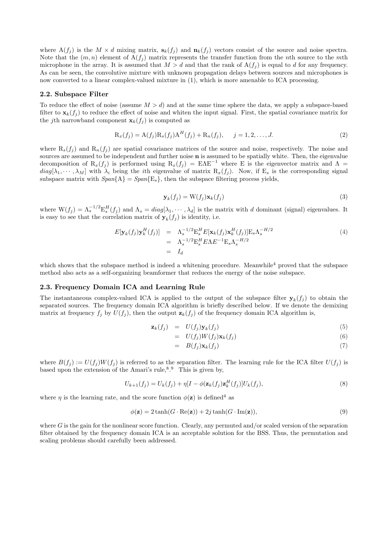where  $A(f_j)$  is the  $M \times d$  mixing matrix,  $s_k(f_j)$  and  $n_k(f_j)$  vectors consist of the source and noise spectra. Note that the  $(m, n)$  element of  $A(f_i)$  matrix represents the transfer function from the nth source to the mth microphone in the array. It is assumed that  $M > d$  and that the rank of  $A(f_i)$  is equal to d for any frequency. As can be seen, the convolutive mixture with unknown propagation delays between sources and microphones is now converted to a linear complex-valued mixture in (1), which is more amenable to ICA processing.

### 2.2. Subspace Filter

To reduce the effect of noise (assume  $M > d$ ) and at the same time sphere the data, we apply a subspace-based filter to  $\mathbf{x}_k(f_i)$  to reduce the effect of noise and whiten the input signal. First, the spatial covariance matrix for the jth narrowband component  $\mathbf{x}_k(f_j)$  is computed as

$$
R_x(f_j) = A(f_j)R_s(f_j)A^H(f_j) + R_n(f_j), \quad j = 1, 2, ..., J.
$$
 (2)

where  $R_s(f_i)$  and  $R_n(f_i)$  are spatial covariance matrices of the source and noise, respectively. The noise and sources are assumed to be independent and further noise **n** is assumed to be spatially white. Then, the eigenvalue decomposition of  $R_x(f_i)$  is performed using  $R_x(f_i) = E\Lambda E^{-1}$  where E is the eigenvector matrix and  $\Lambda =$  $diag[\lambda_1, \cdots, \lambda_M]$  with  $\lambda_i$  being the *i*th eigenvalue of matrix  $R_x(f_i)$ . Now, if  $E_s$  is the corresponding signal subspace matrix with  $Span\{A\} = Span\{E_s\}$ , then the subspace filtering process yields,

$$
\mathbf{y}_k(f_j) = \mathbf{W}(f_j)\mathbf{x}_k(f_j) \tag{3}
$$

where  $W(f_j) = \Lambda_s^{-1/2} E_s^H(f_j)$  and  $\Lambda_s = diag[\lambda_1, \dots, \lambda_d]$  is the matrix with d dominant (signal) eigenvalues. It is easy to see that the correlation matrix of  $y_k(f_j)$  is identity, i.e.

$$
E[\mathbf{y}_k(f_j)\mathbf{y}_k^H(f_j)] = \Lambda_s^{-1/2} E_s^H E[\mathbf{x}_k(f_j)\mathbf{x}_k^H(f_j)] E_s \Lambda_s^{-H/2}
$$
  
=  $\Lambda_s^{-1/2} E_s^H E \Lambda E^{-1} E_s \Lambda_s^{-H/2}$   
=  $I_d$  (4)

which shows that the subspace method is indeed a whitening procedure. Meanwhile<sup>4</sup> proved that the subspace method also acts as a self-organizing beamformer that reduces the energy of the noise subspace.

#### 2.3. Frequency Domain ICA and Learning Rule

The instantaneous complex-valued ICA is applied to the output of the subspace filter  $\mathbf{y}_k(f_j)$  to obtain the separated sources. The frequency domain ICA algorithm is briefly described below. If we denote the demixing matrix at frequency  $f_j$  by  $U(f_j)$ , then the output  $\mathbf{z}_k(f_j)$  of the frequency domain ICA algorithm is,

$$
\mathbf{z}_k(f_j) = U(f_j)\mathbf{y}_k(f_j) \tag{5}
$$

$$
= U(f_j)W(f_j)\mathbf{x}_k(f_j) \tag{6}
$$

$$
= B(f_j) \mathbf{x}_k(f_j) \tag{7}
$$

where  $B(f_j) := U(f_j)W(f_j)$  is referred to as the separation filter. The learning rule for the ICA filter  $U(f_j)$  is based upon the extension of the Amari's rule,  $8.9$  This is given by,

$$
U_{k+1}(f_j) = U_k(f_j) + \eta \left[I - \phi(\mathbf{z}_k(f_j)\mathbf{z}_k^H(f_j))\right]U_k(f_j),\tag{8}
$$

where  $\eta$  is the learning rate, and the score function  $\phi(\mathbf{z})$  is defined<sup>4</sup> as

$$
\phi(\mathbf{z}) = 2 \tanh(G \cdot \text{Re}(\mathbf{z})) + 2j \tanh(G \cdot \text{Im}(\mathbf{z})),\tag{9}
$$

where  $G$  is the gain for the nonlinear score function. Clearly, any permuted and/or scaled version of the separation filter obtained by the frequency domain ICA is an acceptable solution for the BSS. Thus, the permutation and scaling problems should carefully been addressed.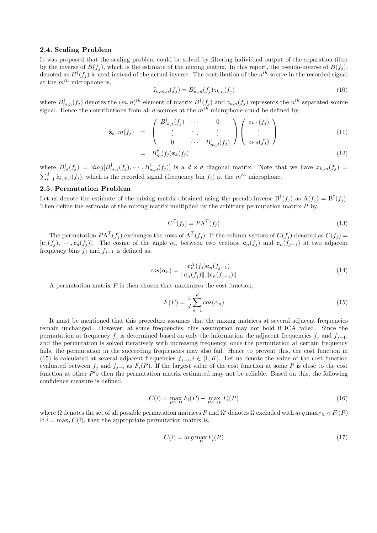# 2.4. Scaling Problem

It was proposed that the scaling problem could be solved by filtering individual output of the separation filter by the inverse of  $B(f_i)$ , which is the estimate of the mixing matrix. In this report, the pseudo-inverse of  $B(f_i)$ , denoted as  $B^{\dagger}(f_i)$  is used instead of the actual inverse. The contribution of the  $n^{th}$  source in the recorded signal at the  $m^{th}$  microphone is,

$$
\tilde{z}_{k,m,n}(f_j) = B_{m,n}^{\dagger}(f_j) z_{k,n}(f_j)
$$
\n(10)

where  $B_{m,n}^{\dagger}(f_j)$  denotes the  $(m,n)^{th}$  element of matrix  $B^{\dagger}(f_j)$  and  $z_{k,n}(f_j)$  represents the  $n^{th}$  separated source signal. Hence the contributions from all d sources at the  $m^{th}$  microphone could be defined by,

$$
\tilde{\mathbf{z}}_k, m(f_j) = \begin{pmatrix} B_{m,1}^{\dagger}(f_j) & \cdots & 0 \\ \vdots & \ddots & \vdots \\ 0 & \cdots & B_{m,d}^{\dagger}(f_j) \end{pmatrix} \begin{pmatrix} z_{k,1}(f_j) \\ \vdots \\ z_{k,d}(f_j) \end{pmatrix}
$$
(11)

$$
= B_m^{\dagger}(f_j) \mathbf{z}_k(f_j) \tag{12}
$$

where  $B_m^{\dagger}(f_j) = diag[B_{m,1}^{\dagger}(f_j), \cdots, B_{m,d}^{\dagger}(f_j)]$  is a  $d \times d$  diagonal matrix. Note that we have  $x_{k,m}(f_j)$  =  $\sum_{i=1}^{d} \tilde{z}_{k,m,i}(f_j)$ , which is the recorded signal (frequency bin  $f_j$ ) at the m<sup>th</sup> microphone.

#### 2.5. Permutation Problem

Let us denote the estimate of the mixing matrix obtained using the pseudo-inverse  $B^{\dagger}(f_j)$  as  $\hat{A}(f_j) = B^{\dagger}(f_j)$ . Then define the estimate of the mixing matrix multiplied by the arbitrary permutation matrix  $P$  by,

$$
CT(fj) = P AT(fj)
$$
\n(13)

The permutation  $PA^T(f_j)$  exchanges the rows of  $A^T(f_j)$ . If the column vectors of  $C(f_j)$  denoted as  $C(f_j)$  =  $[\mathbf{c}_1(f_j),\cdots,\mathbf{c}_d(f_j)]$ . The cosine of the angle  $\alpha_n$  between two vectors,  $\mathbf{c}_n(f_j)$  and  $\mathbf{c}_n(f_{j-1})$  at two adjacent frequency bins  $f_j$  and  $f_{j-1}$  is defined as,

$$
cos(\alpha_n) = \frac{\mathbf{c}_n^H(f_j)\mathbf{c}_n(f_{j-1})}{\|\mathbf{c}_n(f_j)\| \cdot \|\mathbf{c}_n(f_{j-1})\|}
$$
(14)

A permutation matrix  $P$  is then chosen that maximizes the cost function,

$$
F(P) = \frac{1}{d} \sum_{n=1}^{d} \cos(\alpha_n)
$$
\n(15)

It must be mentioned that this procedure assumes that the mixing matrices at several adjacent frequencies remain unchanged. However, at some frequencies, this assumption may not hold if ICA failed. Since the permutation at frequency  $f_j$  is determined based on only the information the adjacent frequencies  $f_j$  and  $f_{j-1}$ , and the permutation is solved iteratively with increasing frequency, once the permutation at certain frequency fails, the permutation in the succeeding frequencies may also fail. Hence to prevent this, the cost function in (15) is calculated at several adjacent frequencies  $f_{j-i}, i \in [1, K]$ . Let us denote the value of the cost function evaluated between  $f_j$  and  $f_{j-i}$  as  $F_i(P)$ . If the largest value of the cost function at some P is close to the cost function at other  $P's$  then the permutation matrix estimated may not be reliable. Based on this, the following confidence measure is defined,

$$
C(i) = \max_{P \in \Omega} F_i(P) - \max_{P \in \Omega'} F_i(P)
$$
\n(16)

where  $\Omega$  denotes the set of all possible permutation matrices P and  $\Omega'$  denotes  $\Omega$  excluded with  $arg \max_{P \in \Omega} F_i(P)$ . If  $\hat{i} = \max_i C(i)$ , then the appropriate permutation matrix is,

$$
C(i) = arg \max_{P} F_i(P)
$$
\n(17)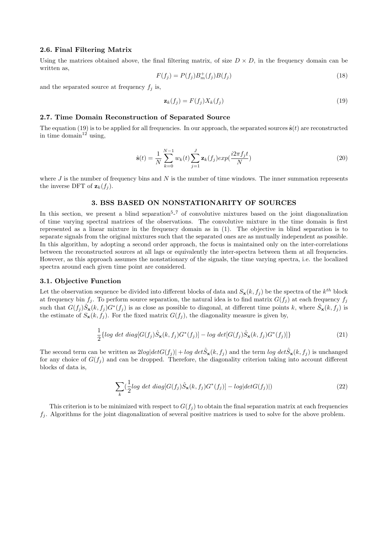#### 2.6. Final Filtering Matrix

Using the matrices obtained above, the final filtering matrix, of size  $D \times D$ , in the frequency domain can be written as,

$$
F(f_j) = P(f_j)B_m^+(f_j)B(f_j)
$$
\n(18)

and the separated source at frequency  $f_j$  is,

$$
\mathbf{z}_k(f_j) = F(f_j)X_k(f_j) \tag{19}
$$

## 2.7. Time Domain Reconstruction of Separated Source

The equation (19) is to be applied for all frequencies. In our approach, the separated sources  $\hat{\mathbf{s}}(t)$  are reconstructed in time domain<sup>12</sup> using,

$$
\hat{\mathbf{s}}(t) = \frac{1}{N} \sum_{k=0}^{N-1} w_k(t) \sum_{j=1}^{J} \mathbf{z}_k(f_j) exp(\frac{i2\pi f_j t}{N})
$$
\n(20)

where  $J$  is the number of frequency bins and  $N$  is the number of time windows. The inner summation represents the inverse DFT of  $\mathbf{z}_k(f_i)$ .

## 3. BSS BASED ON NONSTATIONARITY OF SOURCES

In this section, we present a blind separation<sup>5</sup>-<sup>7</sup> of convolutive mixtures based on the joint diagonalization of time varying spectral matrices of the observations. The convolutive mixture in the time domain is first represented as a linear mixture in the frequency domain as in (1). The objective in blind separation is to separate signals from the original mixtures such that the separated ones are as mutually independent as possible. In this algorithm, by adopting a second order approach, the focus is maintained only on the inter-correlations between the reconstructed sources at all lags or equivalently the inter-spectra between them at all frequencies. However, as this approach assumes the nonstationary of the signals, the time varying spectra, i.e. the localized spectra around each given time point are considered.

#### 3.1. Objective Function

Let the observation sequence be divided into different blocks of data and  $S_{\bf x}(k, f_j)$  be the spectra of the  $k^{th}$  block at frequency bin  $f_j$ . To perform source separation, the natural idea is to find matrix  $G(f_j)$  at each frequency  $f_j$ such that  $G(f_j)\hat{S}_\mathbf{x}(k,f_j)G^*(f_j)$  is as close as possible to diagonal, at different time points k, where  $\hat{S}_\mathbf{x}(k,f_j)$  is the estimate of  $S_{\mathbf{x}}(k, f_i)$ . For the fixed matrix  $G(f_i)$ , the diagonality measure is given by,

$$
\frac{1}{2} \{ \log \det \text{diag}[G(f_j)\hat{S}_\mathbf{x}(k, f_j)G^*(f_j)] - \log \det[G(f_j)\hat{S}_\mathbf{x}(k, f_j)G^*(f_j)] \} \tag{21}
$$

The second term can be written as  $2log|det G(f_j)| + log |det \hat{S}_{\mathbf{x}}(k, f_j)|$  and the term  $log |det \hat{S}_{\mathbf{x}}(k, f_j)|$  is unchanged for any choice of  $G(f_i)$  and can be dropped. Therefore, the diagonality criterion taking into account different blocks of data is,

$$
\sum_{k} \left(\frac{1}{2} log \det \text{diag}[G(f_j)\hat{S}_{\mathbf{x}}(k, f_j)G^*(f_j)] - log|det G(f_j)|\right) \tag{22}
$$

This criterion is to be minimized with respect to  $G(f_i)$  to obtain the final separation matrix at each frequencies  $f_j$ . Algorithms for the joint diagonalization of several positive matrices is used to solve for the above problem.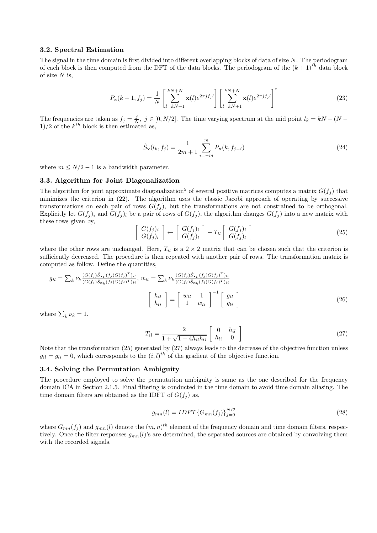## 3.2. Spectral Estimation

The signal in the time domain is first divided into different overlapping blocks of data of size  $N$ . The periodogram of each block is then computed from the DFT of the data blocks. The periodogram of the  $(k+1)^{th}$  data block of size  $N$  is,

$$
P_{\mathbf{x}}(k+1, f_j) = \frac{1}{N} \left[ \sum_{l=kN+1}^{kN+N} \mathbf{x}(l) e^{2\pi j f_j l} \right] \left[ \sum_{l=kN+1}^{kN+N} \mathbf{x}(l) e^{2\pi j f_j l} \right]^*
$$
(23)

The frequencies are taken as  $f_j = \frac{j}{N}$ ,  $j \in [0, N/2]$ . The time varying spectrum at the mid point  $l_k = kN - (N - 1)$  $1)/2$  of the  $k^{th}$  block is then estimated as,

$$
\hat{S}_{\mathbf{x}}(l_k, f_j) = \frac{1}{2m+1} \sum_{i=-m}^{m} P_{\mathbf{x}}(k, f_{j-i})
$$
\n(24)

where  $m \leq N/2 - 1$  is a bandwidth parameter.

#### 3.3. Algorithm for Joint Diagonalization

The algorithm for joint approximate diagonalization<sup>5</sup> of several positive matrices computes a matrix  $G(f_i)$  that minimizes the criterion in (22). The algorithm uses the classic Jacobi approach of operating by successive transformations on each pair of rows  $G(f_i)$ , but the transformations are not constrained to be orthogonal. Explicitly let  $G(f_j)_i$  and  $G(f_j)_l$  be a pair of rows of  $G(f_j)$ , the algorithm changes  $G(f_j)$  into a new matrix with these rows given by, ·  $\overline{a}$ ·  $\overline{a}$  $\overline{a}$ 

$$
\left[\begin{array}{c} G(f_j)_i \\ G(f_j)_l \end{array}\right] \leftarrow \left[\begin{array}{c} G(f_j)_i \\ G(f_j)_l \end{array}\right] - T_{il} \left[\begin{array}{c} G(f_j)_i \\ G(f_j)_l \end{array}\right] \tag{25}
$$

where the other rows are unchanged. Here,  $T_{il}$  is a  $2 \times 2$  matrix that can be chosen such that the criterion is sufficiently decreased. The procedure is then repeated with another pair of rows. The transformation matrix is computed as follow. Define the quantities,

$$
g_{il} = \sum_{k} \nu_{k} \frac{(G(f_{j})\hat{S}_{\mathbf{x}_{k}}(f_{j})G(f_{j})^{T})_{il}}{(G(f_{j})\hat{S}_{\mathbf{x}_{k}}(f_{j})G(f_{j})^{T})_{ii}}, \ w_{il} = \sum_{k} \nu_{k} \frac{(G(f_{j})\hat{S}_{\mathbf{x}_{k}}(f_{j})G(f_{j})^{T})_{li}}{(G(f_{j})\hat{S}_{\mathbf{x}_{k}}(f_{j})G(f_{j})^{T})_{ii}} \begin{bmatrix} h_{il} \\ h_{li} \end{bmatrix} = \begin{bmatrix} w_{il} & 1 \\ 1 & w_{li} \end{bmatrix}^{-1} \begin{bmatrix} g_{il} \\ g_{li} \end{bmatrix}
$$
(26)

where  $\sum_k \nu_k = 1$ .

$$
T_{il} = \frac{2}{1 + \sqrt{1 - 4h_{il}h_{li}}} \begin{bmatrix} 0 & h_{il} \\ h_{li} & 0 \end{bmatrix}
$$
 (27)

Note that the transformation (25) generated by (27) always leads to the decrease of the objective function unless  $g_{il} = g_{li} = 0$ , which corresponds to the  $(i, l)^{th}$  of the gradient of the objective function.

## 3.4. Solving the Permutation Ambiguity

The procedure employed to solve the permutation ambiguity is same as the one described for the frequency domain ICA in Section 2.1.5. Final filtering is conducted in the time domain to avoid time domain aliasing. The time domain filters are obtained as the IDFT of  $G(f_i)$  as,

$$
g_{mn}(l) = IDFT\{G_{mn}(f_j)\}_{j=0}^{N/2}
$$
\n(28)

where  $G_{mn}(f_j)$  and  $g_{mn}(l)$  denote the  $(m, n)^{th}$  element of the frequency domain and time domain filters, respectively. Once the filter responses  $g_{mn}(l)$ 's are determined, the separated sources are obtained by convolving them with the recorded signals.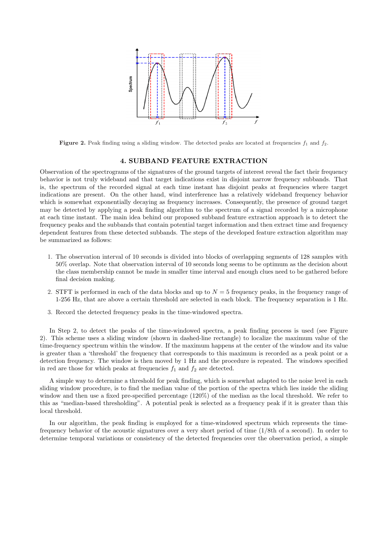

**Figure 2.** Peak finding using a sliding window. The detected peaks are located at frequencies  $f_1$  and  $f_2$ .

#### 4. SUBBAND FEATURE EXTRACTION

Observation of the spectrograms of the signatures of the ground targets of interest reveal the fact their frequency behavior is not truly wideband and that target indications exist in disjoint narrow frequency subbands. That is, the spectrum of the recorded signal at each time instant has disjoint peaks at frequencies where target indications are present. On the other hand, wind interference has a relatively wideband frequency behavior which is somewhat exponentially decaying as frequency increases. Consequently, the presence of ground target may be detected by applying a peak finding algorithm to the spectrum of a signal recorded by a microphone at each time instant. The main idea behind our proposed subband feature extraction approach is to detect the frequency peaks and the subbands that contain potential target information and then extract time and frequency dependent features from these detected subbands. The steps of the developed feature extraction algorithm may be summarized as follows:

- 1. The observation interval of 10 seconds is divided into blocks of overlapping segments of 128 samples with 50% overlap. Note that observation interval of 10 seconds long seems to be optimum as the decision about the class membership cannot be made in smaller time interval and enough clues need to be gathered before final decision making.
- 2. STFT is performed in each of the data blocks and up to  $N = 5$  frequency peaks, in the frequency range of 1-256 Hz, that are above a certain threshold are selected in each block. The frequency separation is 1 Hz.
- 3. Record the detected frequency peaks in the time-windowed spectra.

In Step 2, to detect the peaks of the time-windowed spectra, a peak finding process is used (see Figure 2). This scheme uses a sliding window (shown in dashed-line rectangle) to localize the maximum value of the time-frequency spectrum within the window. If the maximum happens at the center of the window and its value is greater than a 'threshold' the frequency that corresponds to this maximum is recorded as a peak point or a detection frequency. The window is then moved by 1 Hz and the procedure is repeated. The windows specified in red are those for which peaks at frequencies  $f_1$  and  $f_2$  are detected.

A simple way to determine a threshold for peak finding, which is somewhat adapted to the noise level in each sliding window procedure, is to find the median value of the portion of the spectra which lies inside the sliding window and then use a fixed pre-specified percentage (120%) of the median as the local threshold. We refer to this as "median-based thresholding". A potential peak is selected as a frequency peak if it is greater than this local threshold.

In our algorithm, the peak finding is employed for a time-windowed spectrum which represents the timefrequency behavior of the acoustic signatures over a very short period of time (1/8th of a second). In order to determine temporal variations or consistency of the detected frequencies over the observation period, a simple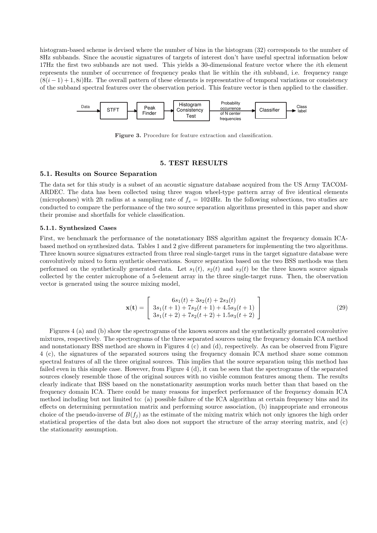histogram-based scheme is devised where the number of bins in the histogram (32) corresponds to the number of 8Hz subbands. Since the acoustic signatures of targets of interest don't have useful spectral information below 17Hz the first two subbands are not used. This yields a 30-dimensional feature vector where the ith element represents the number of occurrence of frequency peaks that lie within the ith subband, i.e. frequency range  $(8(i-1)+1, 8i)$ Hz. The overall pattern of these elements is representative of temporal variations or consistency of the subband spectral features over the observation period. This feature vector is then applied to the classifier.



Figure 3. Procedure for feature extraction and classification.

# 5. TEST RESULTS

# 5.1. Results on Source Separation

The data set for this study is a subset of an acoustic signature database acquired from the US Army TACOM-ARDEC. The data has been collected using three wagon wheel-type pattern array of five identical elements (microphones) with 2ft radius at a sampling rate of  $f_s = 1024$ Hz. In the following subsections, two studies are conducted to compare the performance of the two source separation algorithms presented in this paper and show their promise and shortfalls for vehicle classification.

#### 5.1.1. Synthesized Cases

First, we benchmark the performance of the nonstationary BSS algorithm against the frequency domain ICAbased method on synthesized data. Tables 1 and 2 give different parameters for implementing the two algorithms. Three known source signatures extracted from three real single-target runs in the target signature database were convolutively mixed to form synthetic observations. Source separation based on the two BSS methods was then performed on the synthetically generated data. Let  $s_1(t)$ ,  $s_2(t)$  and  $s_3(t)$  be the three known source signals collected by the center microphone of a 5-element array in the three single-target runs. Then, the observation vector is generated using the source mixing model,

$$
\mathbf{x(t)} = \begin{bmatrix} 6s_1(t) + 3s_2(t) + 2s_3(t) \\ 3s_1(t+1) + 7s_2(t+1) + 4.5s_3(t+1) \\ 3s_1(t+2) + 7s_2(t+2) + 1.5s_3(t+2) \end{bmatrix}
$$
(29)

Figures 4 (a) and (b) show the spectrograms of the known sources and the synthetically generated convolutive mixtures, respectively. The spectrograms of the three separated sources using the frequency domain ICA method and nonstationary BSS method are shown in Figures 4 (c) and (d), respectively. As can be observed from Figure 4 (c), the signatures of the separated sources using the frequency domain ICA method share some common spectral features of all the three original sources. This implies that the source separation using this method has failed even in this simple case. However, from Figure 4 (d), it can be seen that the spectrograms of the separated sources closely resemble those of the original sources with no visible common features among them. The results clearly indicate that BSS based on the nonstationarity assumption works much better than that based on the frequency domain ICA. There could be many reasons for imperfect performance of the frequency domain ICA method including but not limited to: (a) possible failure of the ICA algorithm at certain frequency bins and its effects on determining permutation matrix and performing source association, (b) inappropriate and erroneous choice of the pseudo-inverse of  $B(f_i)$  as the estimate of the mixing matrix which not only ignores the high order statistical properties of the data but also does not support the structure of the array steering matrix, and (c) the stationarity assumption.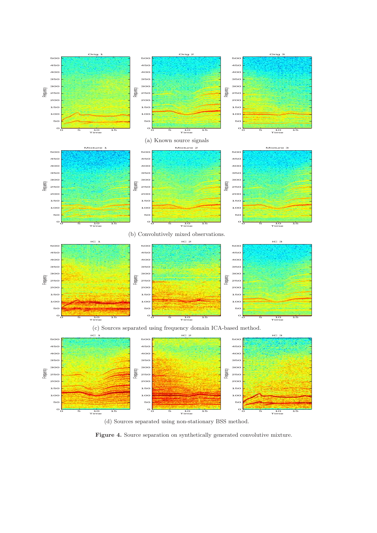

(d) Sources separated using non-stationary BSS method.

Figure 4. Source separation on synthetically generated convolutive mixture.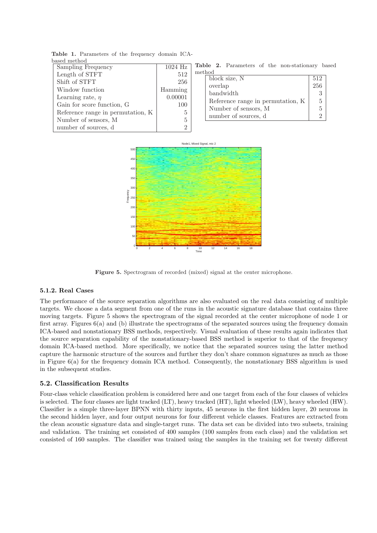| based method                      |                |   |
|-----------------------------------|----------------|---|
| Sampling Frequency                | $1024$ Hz      | т |
| Length of STFT                    | 512            | m |
| Shift of STFT                     | 256            |   |
| Window function                   | Hamming        |   |
| Learning rate, $\eta$             | 0.00001        |   |
| Gain for score function, G        | 100            |   |
| Reference range in permutation, K | 5              |   |
| Number of sensors, M              | 5              |   |
| number of sources, d              | $\mathfrak{D}$ |   |

Table 1. Parameters of the frequency domain ICAbased method

Table 2. Parameters of the non-stationary based method

| -1.IIO CI                         |     |
|-----------------------------------|-----|
| block size, N                     | 512 |
| overlap                           | 256 |
| bandwidth                         |     |
| Reference range in permutation, K |     |
| Number of sensors, M              |     |
| number of sources, d              |     |



Figure 5. Spectrogram of recorded (mixed) signal at the center microphone.

# 5.1.2. Real Cases

The performance of the source separation algorithms are also evaluated on the real data consisting of multiple targets. We choose a data segment from one of the runs in the acoustic signature database that contains three moving targets. Figure 5 shows the spectrogram of the signal recorded at the center microphone of node 1 or first array. Figures 6(a) and (b) illustrate the spectrograms of the separated sources using the frequency domain ICA-based and nonstationary BSS methods, respectively. Visual evaluation of these results again indicates that the source separation capability of the nonstationary-based BSS method is superior to that of the frequency domain ICA-based method. More specifically, we notice that the separated sources using the latter method capture the harmonic structure of the sources and further they don't share common signatures as much as those in Figure 6(a) for the frequency domain ICA method. Consequently, the nonstationary BSS algorithm is used in the subsequent studies.

# 5.2. Classification Results

Four-class vehicle classification problem is considered here and one target from each of the four classes of vehicles is selected. The four classes are light tracked (LT), heavy tracked (HT), light wheeled (LW), heavy wheeled (HW). Classifier is a simple three-layer BPNN with thirty inputs, 45 neurons in the first hidden layer, 20 neurons in the second hidden layer, and four output neurons for four different vehicle classes. Features are extracted from the clean acoustic signature data and single-target runs. The data set can be divided into two subsets, training and validation. The training set consisted of 400 samples (100 samples from each class) and the validation set consisted of 160 samples. The classifier was trained using the samples in the training set for twenty different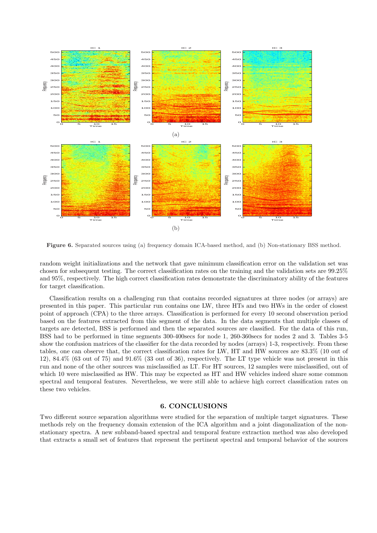

Figure 6. Separated sources using (a) frequency domain ICA-based method, and (b) Non-stationary BSS method.

random weight initializations and the network that gave minimum classification error on the validation set was chosen for subsequent testing. The correct classification rates on the training and the validation sets are 99.25% and 95%, respectively. The high correct classification rates demonstrate the discriminatory ability of the features for target classification.

Classification results on a challenging run that contains recorded signatures at three nodes (or arrays) are presented in this paper. This particular run contains one LW, three HTs and two HWs in the order of closest point of approach (CPA) to the three arrays. Classification is performed for every 10 second observation period based on the features extracted from this segment of the data. In the data segments that multiple classes of targets are detected, BSS is performed and then the separated sources are classified. For the data of this run, BSS had to be performed in time segments 300-400secs for node 1, 260-360secs for nodes 2 and 3. Tables 3-5 show the confusion matrices of the classifier for the data recorded by nodes (arrays) 1-3, respectively. From these tables, one can observe that, the correct classification rates for LW, HT and HW sources are 83.3% (10 out of 12), 84.4% (63 out of 75) and 91.6% (33 out of 36), respectively. The LT type vehicle was not present in this run and none of the other sources was misclassified as LT. For HT sources, 12 samples were misclassified, out of which 10 were misclassified as HW. This may be expected as HT and HW vehicles indeed share some common spectral and temporal features. Nevertheless, we were still able to achieve high correct classification rates on these two vehicles.

# 6. CONCLUSIONS

Two different source separation algorithms were studied for the separation of multiple target signatures. These methods rely on the frequency domain extension of the ICA algorithm and a joint diagonalization of the nonstationary spectra. A new subband-based spectral and temporal feature extraction method was also developed that extracts a small set of features that represent the pertinent spectral and temporal behavior of the sources